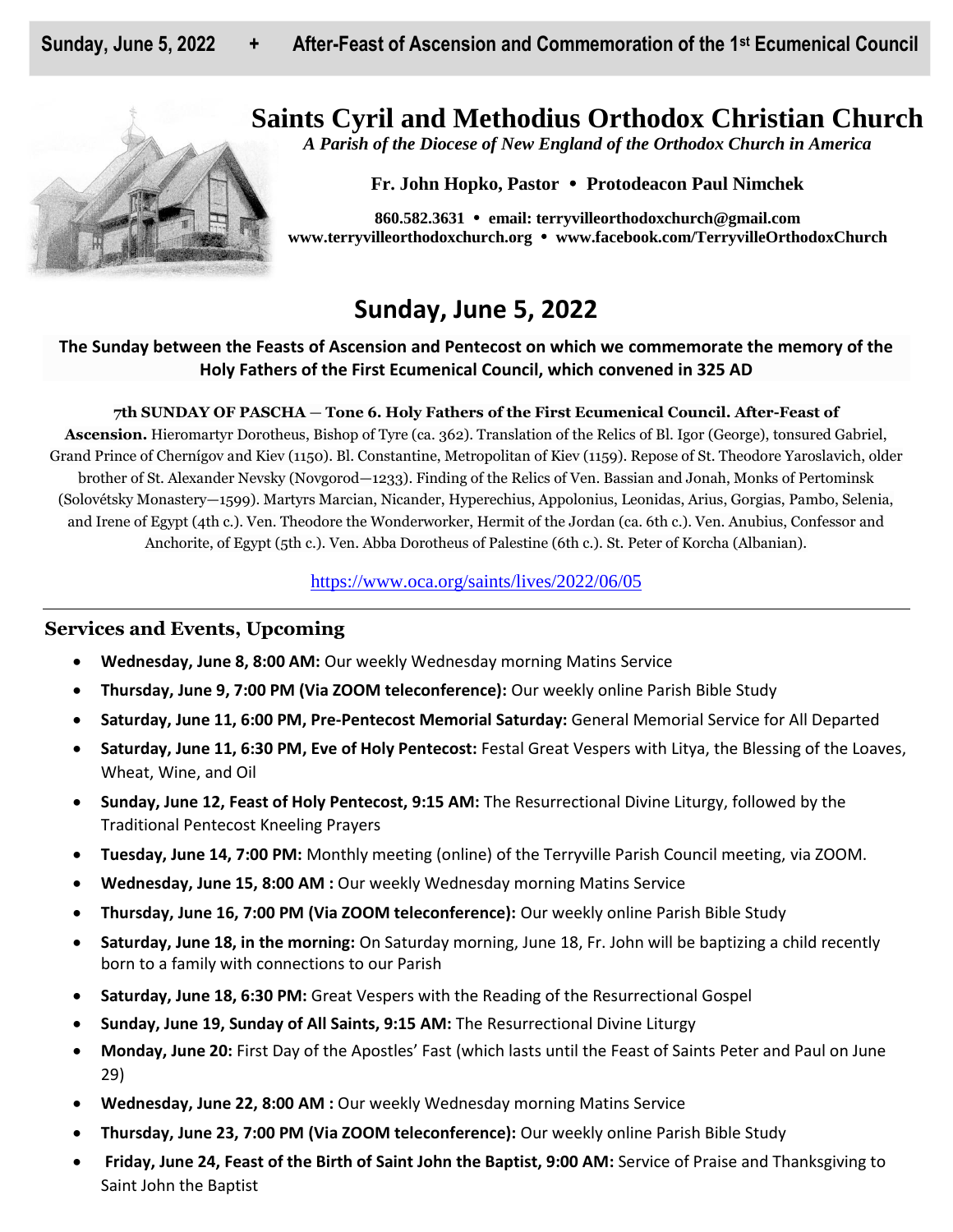# **Saints Cyril and Methodius Orthodox Christian Church**



*A Parish of the Diocese of New England of the Orthodox Church in America*

**Fr. John Hopko, Pastor Protodeacon Paul Nimchek**

**860.582.3631 email: [terryvilleorthodoxchurch@gmail.com](mailto:saintcyril@snet.net) [www.terryvilleorthodoxchurch.org](http://www.terryvilleorthodoxchurch.org/) [www.facebook.com/TerryvilleOrthodoxChurch](http://www.facebook.com/TerryvilleOrthodoxChurch)**

# **Sunday, June 5, 2022**

## **The Sunday between the Feasts of Ascension and Pentecost on which we commemorate the memory of the Holy Fathers of the First Ecumenical Council, which convened in 325 AD**

### **7th SUNDAY OF PASCHA** — **Tone 6. Holy Fathers of the First Ecumenical Council. After-Feast of**

**Ascension.** Hieromartyr Dorotheus, Bishop of Tyre (ca. 362). Translation of the Relics of Bl. Igor (George), tonsured Gabriel, Grand Prince of Chernígov and Kiev (1150). Bl. Constantine, Metropolitan of Kiev (1159). Repose of St. Theodore Yaroslavich, older brother of St. Alexander Nevsky (Novgorod—1233). Finding of the Relics of Ven. Bassian and Jonah, Monks of Pertominsk (Solovétsky Monastery—1599). Martyrs Marcian, Nicander, Hyperechius, Appolonius, Leonidas, Arius, Gorgias, Pambo, Selenia, and Irene of Egypt (4th c.). Ven. Theodore the Wonderworker, Hermit of the Jordan (ca. 6th c.). Ven. Anubius, Confessor and Anchorite, of Egypt (5th c.). Ven. Abba Dorotheus of Palestine (6th c.). St. Peter of Korcha (Albanian).

## <https://www.oca.org/saints/lives/2022/06/05>

## **Services and Events, Upcoming**

- **Wednesday, June 8, 8:00 AM:** Our weekly Wednesday morning Matins Service
- **Thursday, June 9, 7:00 PM (Via ZOOM teleconference):** Our weekly online Parish Bible Study
- **Saturday, June 11, 6:00 PM, Pre-Pentecost Memorial Saturday:** General Memorial Service for All Departed
- **Saturday, June 11, 6:30 PM, Eve of Holy Pentecost:** Festal Great Vespers with Litya, the Blessing of the Loaves, Wheat, Wine, and Oil
- **Sunday, June 12, Feast of Holy Pentecost, 9:15 AM:** The Resurrectional Divine Liturgy, followed by the Traditional Pentecost Kneeling Prayers
- **Tuesday, June 14, 7:00 PM:** Monthly meeting (online) of the Terryville Parish Council meeting, via ZOOM.
- **Wednesday, June 15, 8:00 AM :** Our weekly Wednesday morning Matins Service
- **Thursday, June 16, 7:00 PM (Via ZOOM teleconference):** Our weekly online Parish Bible Study
- **Saturday, June 18, in the morning:** On Saturday morning, June 18, Fr. John will be baptizing a child recently born to a family with connections to our Parish
- **Saturday, June 18, 6:30 PM:** Great Vespers with the Reading of the Resurrectional Gospel
- **Sunday, June 19, Sunday of All Saints, 9:15 AM:** The Resurrectional Divine Liturgy
- **Monday, June 20:** First Day of the Apostles' Fast (which lasts until the Feast of Saints Peter and Paul on June 29)
- **Wednesday, June 22, 8:00 AM :** Our weekly Wednesday morning Matins Service
- **Thursday, June 23, 7:00 PM (Via ZOOM teleconference):** Our weekly online Parish Bible Study
- **Friday, June 24, Feast of the Birth of Saint John the Baptist, 9:00 AM:** Service of Praise and Thanksgiving to Saint John the Baptist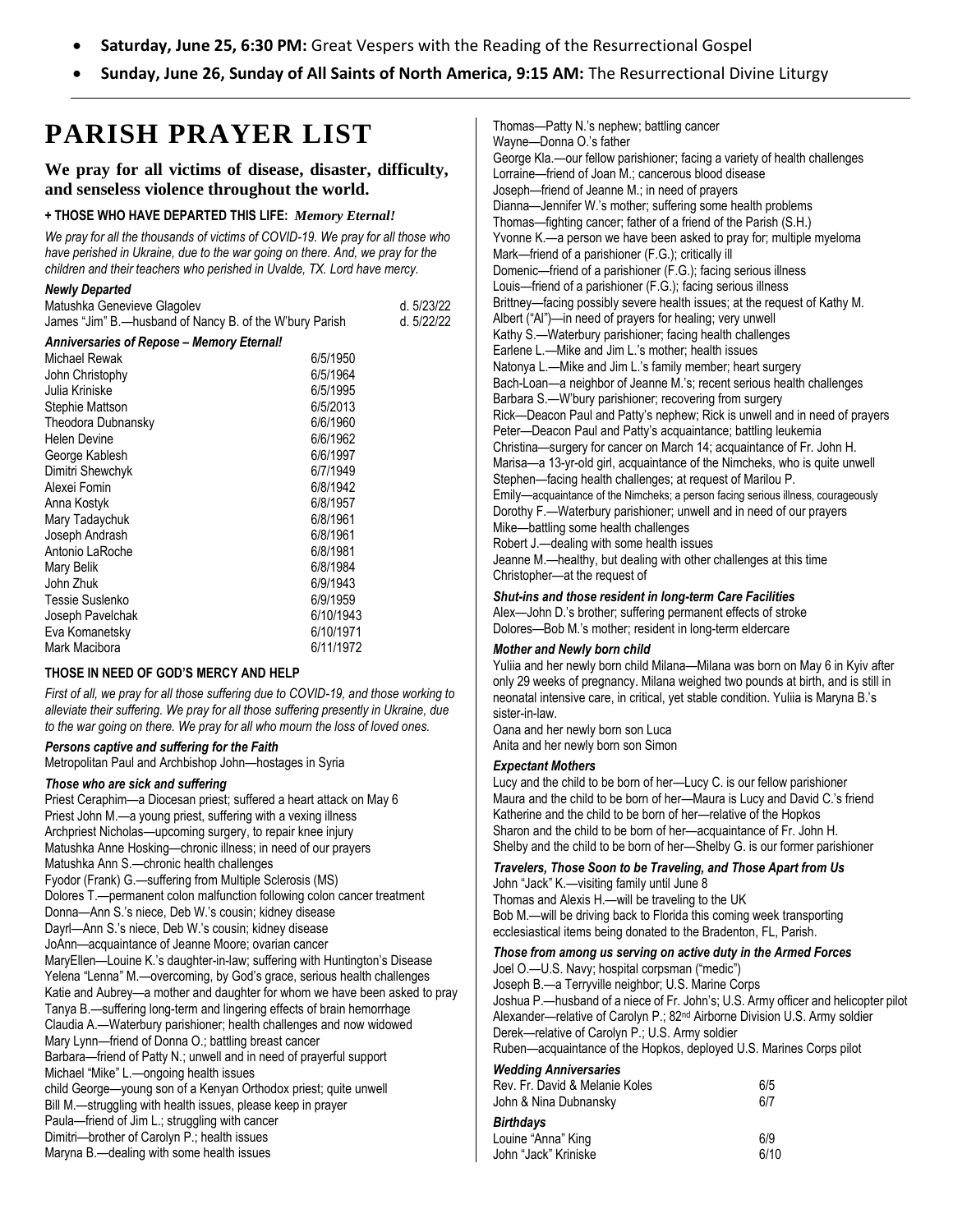- **Saturday, June 25, 6:30 PM:** Great Vespers with the Reading of the Resurrectional Gospel
- **Sunday, June 26, Sunday of All Saints of North America, 9:15 AM:** The Resurrectional Divine Liturgy

# **PARISH PRAYER LIST**

## **We pray for all victims of disease, disaster, difficulty, and senseless violence throughout the world.**

#### **+ THOSE WHO HAVE DEPARTED THIS LIFE:** *Memory Eternal!*

*We pray for all the thousands of victims of COVID-19. We pray for all those who have perished in Ukraine, due to the war going on there. And, we pray for the children and their teachers who perished in Uvalde, TX. Lord have mercy.* 

#### *Newly Departed*

| Matushka Genevieve Glagolev                             | d. 5/23/22 |
|---------------------------------------------------------|------------|
| James "Jim" B.—husband of Nancy B. of the W'bury Parish | d. 5/22/22 |

| <b>Anniversaries of Repose - Memory Eternal!</b> |           |
|--------------------------------------------------|-----------|
| Michael Rewak                                    | 6/5/1950  |
| John Christophy                                  | 6/5/1964  |
| Julia Kriniske                                   | 6/5/1995  |
| Stephie Mattson                                  | 6/5/2013  |
| Theodora Dubnansky                               | 6/6/1960  |
| <b>Helen Devine</b>                              | 6/6/1962  |
| George Kablesh                                   | 6/6/1997  |
| Dimitri Shewchyk                                 | 6/7/1949  |
| Alexei Fomin                                     | 6/8/1942  |
| Anna Kostyk                                      | 6/8/1957  |
| Mary Tadaychuk                                   | 6/8/1961  |
| Joseph Andrash                                   | 6/8/1961  |
| Antonio LaRoche                                  | 6/8/1981  |
| Mary Belik                                       | 6/8/1984  |
| John Zhuk                                        | 6/9/1943  |
| Tessie Suslenko                                  | 6/9/1959  |
| Joseph Pavelchak                                 | 6/10/1943 |
| Eva Komanetsky                                   | 6/10/1971 |
| Mark Macibora                                    | 6/11/1972 |

#### **THOSE IN NEED OF GOD'S MERCY AND HELP**

*First of all, we pray for all those suffering due to COVID-19, and those working to alleviate their suffering. We pray for all those suffering presently in Ukraine, due to the war going on there. We pray for all who mourn the loss of loved ones.* 

### *Persons captive and suffering for the Faith*

Metropolitan Paul and Archbishop John—hostages in Syria

#### *Those who are sick and suffering*

Priest Ceraphim—a Diocesan priest; suffered a heart attack on May 6 Priest John M.—a young priest, suffering with a vexing illness Archpriest Nicholas—upcoming surgery, to repair knee injury Matushka Anne Hosking—chronic illness; in need of our prayers Matushka Ann S.—chronic health challenges Fyodor (Frank) G.—suffering from Multiple Sclerosis (MS) Dolores T.—permanent colon malfunction following colon cancer treatment Donna—Ann S.'s niece, Deb W.'s cousin; kidney disease Dayrl—Ann S.'s niece, Deb W.'s cousin; kidney disease JoAnn—acquaintance of Jeanne Moore; ovarian cancer MaryEllen—Louine K.'s daughter-in-law; suffering with Huntington's Disease Yelena "Lenna" M.—overcoming, by God's grace, serious health challenges Katie and Aubrey—a mother and daughter for whom we have been asked to pray Tanya B.—suffering long-term and lingering effects of brain hemorrhage Claudia A.—Waterbury parishioner; health challenges and now widowed Mary Lynn—friend of Donna O.; battling breast cancer Barbara—friend of Patty N.; unwell and in need of prayerful support Michael "Mike" L.—ongoing health issues child George—young son of a Kenyan Orthodox priest; quite unwell Bill M.—struggling with health issues, please keep in prayer Paula—friend of Jim L.; struggling with cancer Dimitri—brother of Carolyn P.; health issues Maryna B.—dealing with some health issues

Thomas—Patty N.'s nephew; battling cancer Wayne—Donna O.'s father George Kla.—our fellow parishioner; facing a variety of health challenges Lorraine—friend of Joan M.; cancerous blood disease Joseph—friend of Jeanne M.; in need of prayers Dianna—Jennifer W.'s mother; suffering some health problems Thomas—fighting cancer; father of a friend of the Parish (S.H.) Yvonne K.—a person we have been asked to pray for; multiple myeloma Mark—friend of a parishioner (F.G.); critically ill Domenic—friend of a parishioner (F.G.); facing serious illness Louis—friend of a parishioner (F.G.); facing serious illness Brittney—facing possibly severe health issues; at the request of Kathy M. Albert ("Al")—in need of prayers for healing; very unwell Kathy S.—Waterbury parishioner; facing health challenges Earlene L.—Mike and Jim L.'s mother; health issues Natonya L.—Mike and Jim L.'s family member; heart surgery Bach-Loan—a neighbor of Jeanne M.'s; recent serious health challenges Barbara S.—W'bury parishioner; recovering from surgery Rick—Deacon Paul and Patty's nephew; Rick is unwell and in need of prayers Peter—Deacon Paul and Patty's acquaintance; battling leukemia Christina—surgery for cancer on March 14; acquaintance of Fr. John H. Marisa—a 13-yr-old girl, acquaintance of the Nimcheks, who is quite unwell Stephen—facing health challenges; at request of Marilou P. Emily—acquaintance of the Nimcheks; a person facing serious illness, courageously Dorothy F.—Waterbury parishioner; unwell and in need of our prayers Mike—battling some health challenges Robert J.—dealing with some health issues Jeanne M.—healthy, but dealing with other challenges at this time

Christopher—at the request of

#### *Shut-ins and those resident in long-term Care Facilities*

Alex—John D.'s brother; suffering permanent effects of stroke Dolores—Bob M.'s mother; resident in long-term eldercare

#### *Mother and Newly born child*

Yuliia and her newly born child Milana—Milana was born on May 6 in Kyiv after only 29 weeks of pregnancy. Milana weighed two pounds at birth, and is still in neonatal intensive care, in critical, yet stable condition. Yuliia is Maryna B.'s sister-in-law.

Oana and her newly born son Luca Anita and her newly born son Simon

#### *Expectant Mothers*

Lucy and the child to be born of her—Lucy C. is our fellow parishioner Maura and the child to be born of her—Maura is Lucy and David C.'s friend Katherine and the child to be born of her—relative of the Hopkos Sharon and the child to be born of her—acquaintance of Fr. John H. Shelby and the child to be born of her—Shelby G. is our former parishioner

#### *Travelers, Those Soon to be Traveling, and Those Apart from Us*

John "Jack" K.—visiting family until June 8 Thomas and Alexis H.—will be traveling to the UK Bob M.—will be driving back to Florida this coming week transporting ecclesiastical items being donated to the Bradenton, FL, Parish.

#### *Those from among us serving on active duty in the Armed Forces*

Joel O.—U.S. Navy; hospital corpsman ("medic") Joseph B.—a Terryville neighbor; U.S. Marine Corps Joshua P.—husband of a niece of Fr. John's; U.S. Army officer and helicopter pilot Alexander—relative of Carolyn P.; 82nd Airborne Division U.S. Army soldier Derek—relative of Carolyn P.; U.S. Army soldier Ruben—acquaintance of the Hopkos, deployed U.S. Marines Corps pilot

## *Wedding Anniversaries*

| Rev. Fr. David & Melanie Koles<br>John & Nina Dubnansky | 6/5<br>6/7 |
|---------------------------------------------------------|------------|
| Birthdays                                               |            |
| Louine "Anna" King                                      | 6/9        |
| John "Jack" Kriniske                                    | 6/10       |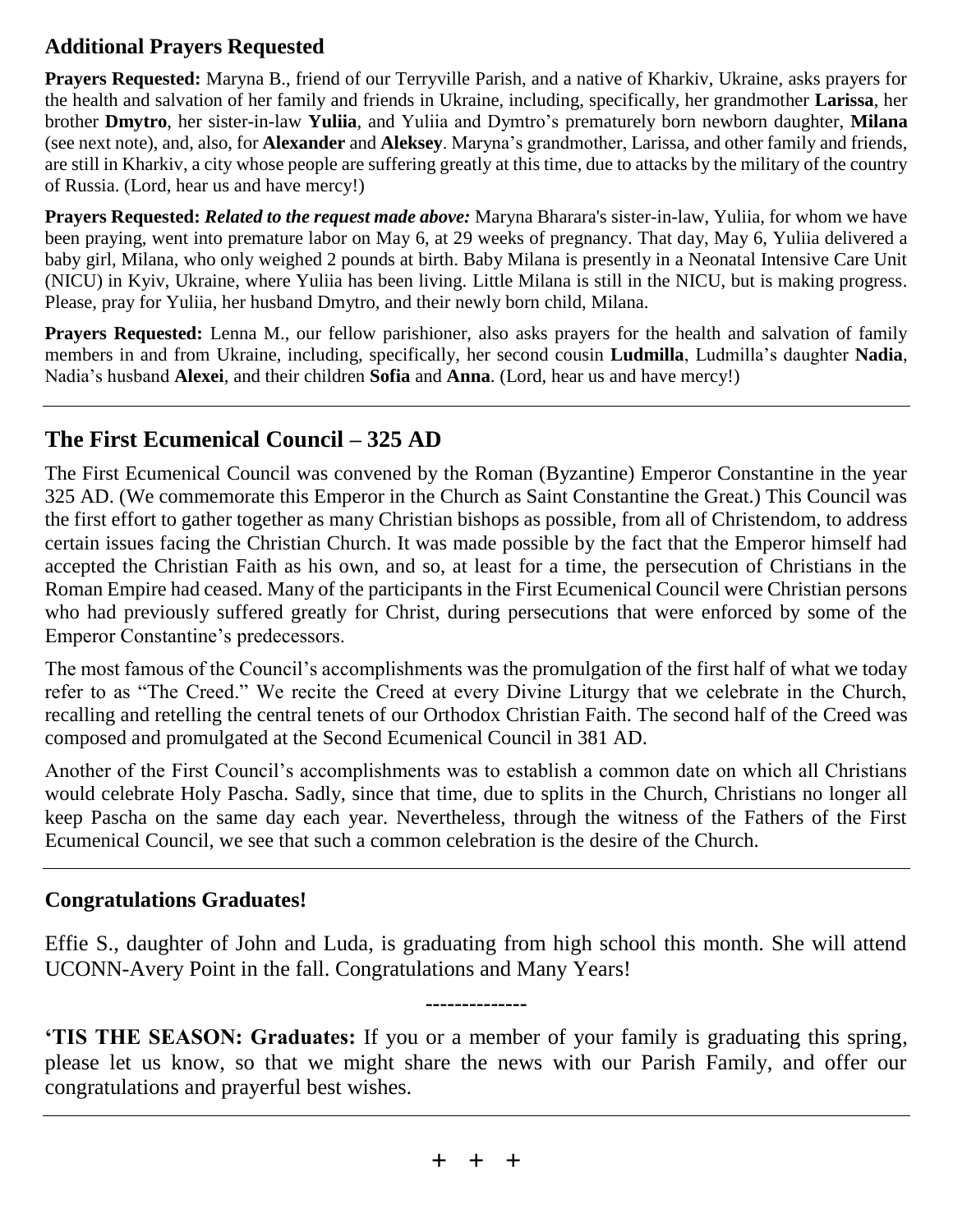## **Additional Prayers Requested**

**Prayers Requested:** Maryna B., friend of our Terryville Parish, and a native of Kharkiv, Ukraine, asks prayers for the health and salvation of her family and friends in Ukraine, including, specifically, her grandmother **Larissa**, her brother **Dmytro**, her sister-in-law **Yuliia**, and Yuliia and Dymtro's prematurely born newborn daughter, **Milana** (see next note), and, also, for **Alexander** and **Aleksey**. Maryna's grandmother, Larissa, and other family and friends, are still in Kharkiv, a city whose people are suffering greatly at this time, due to attacks by the military of the country of Russia. (Lord, hear us and have mercy!)

**Prayers Requested:** *Related to the request made above:* Maryna Bharara's sister-in-law, Yuliia, for whom we have been praying, went into premature labor on May 6, at 29 weeks of pregnancy. That day, May 6, Yuliia delivered a baby girl, Milana, who only weighed 2 pounds at birth. Baby Milana is presently in a Neonatal Intensive Care Unit (NICU) in Kyiv, Ukraine, where Yuliia has been living. Little Milana is still in the NICU, but is making progress. Please, pray for Yuliia, her husband Dmytro, and their newly born child, Milana.

**Prayers Requested:** Lenna M., our fellow parishioner, also asks prayers for the health and salvation of family members in and from Ukraine, including, specifically, her second cousin **Ludmilla**, Ludmilla's daughter **Nadia**, Nadia's husband **Alexei**, and their children **Sofia** and **Anna**. (Lord, hear us and have mercy!)

# **The First Ecumenical Council – 325 AD**

The First Ecumenical Council was convened by the Roman (Byzantine) Emperor Constantine in the year 325 AD. (We commemorate this Emperor in the Church as Saint Constantine the Great.) This Council was the first effort to gather together as many Christian bishops as possible, from all of Christendom, to address certain issues facing the Christian Church. It was made possible by the fact that the Emperor himself had accepted the Christian Faith as his own, and so, at least for a time, the persecution of Christians in the Roman Empire had ceased. Many of the participants in the First Ecumenical Council were Christian persons who had previously suffered greatly for Christ, during persecutions that were enforced by some of the Emperor Constantine's predecessors.

The most famous of the Council's accomplishments was the promulgation of the first half of what we today refer to as "The Creed." We recite the Creed at every Divine Liturgy that we celebrate in the Church, recalling and retelling the central tenets of our Orthodox Christian Faith. The second half of the Creed was composed and promulgated at the Second Ecumenical Council in 381 AD.

Another of the First Council's accomplishments was to establish a common date on which all Christians would celebrate Holy Pascha. Sadly, since that time, due to splits in the Church, Christians no longer all keep Pascha on the same day each year. Nevertheless, through the witness of the Fathers of the First Ecumenical Council, we see that such a common celebration is the desire of the Church.

## **Congratulations Graduates!**

Effie S., daughter of John and Luda, is graduating from high school this month. She will attend UCONN-Avery Point in the fall. Congratulations and Many Years!

**--------------**

**'TIS THE SEASON: Graduates:** If you or a member of your family is graduating this spring, please let us know, so that we might share the news with our Parish Family, and offer our congratulations and prayerful best wishes.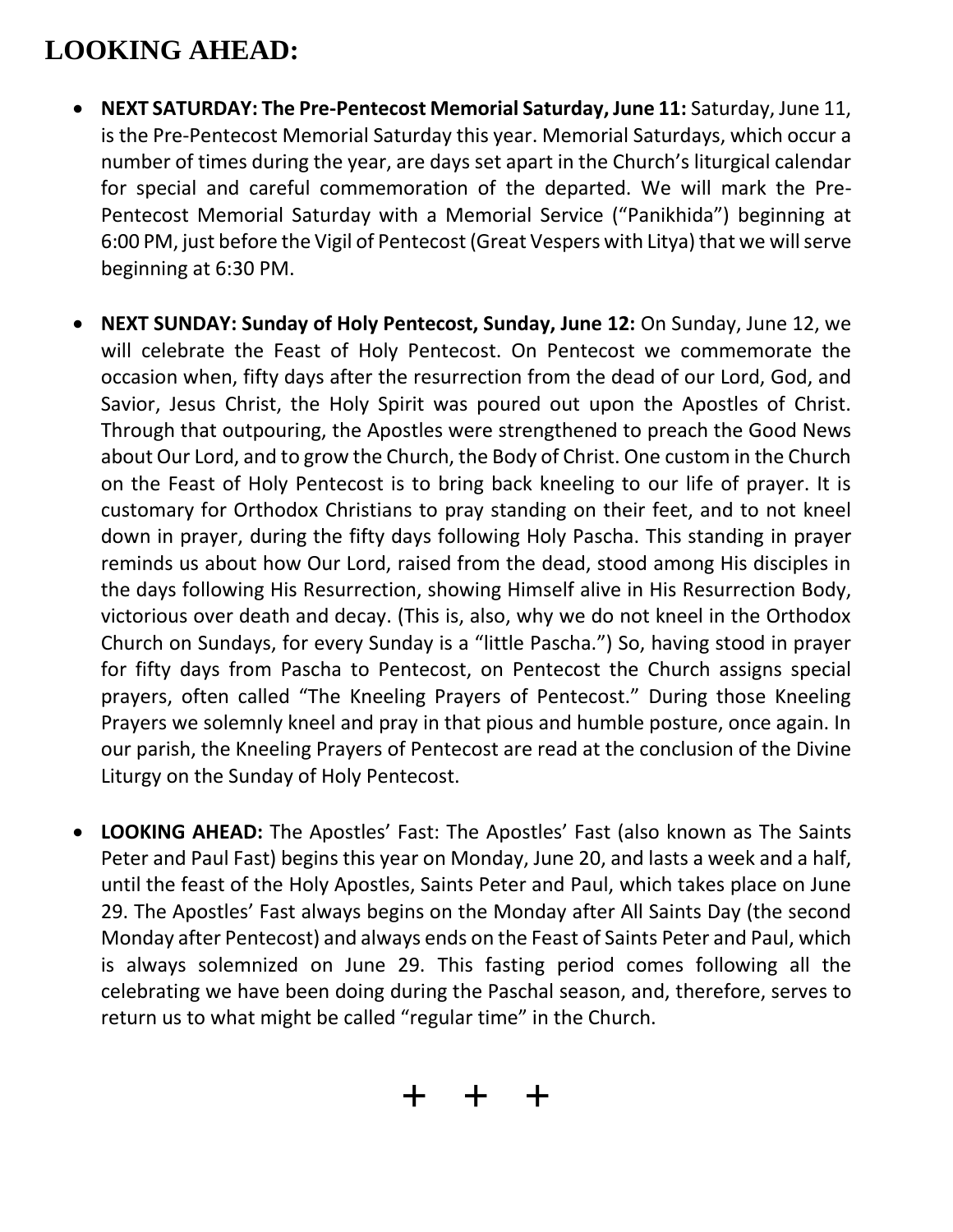# **LOOKING AHEAD:**

- **NEXT SATURDAY: The Pre-Pentecost Memorial Saturday, June 11:** Saturday, June 11, is the Pre-Pentecost Memorial Saturday this year. Memorial Saturdays, which occur a number of times during the year, are days set apart in the Church's liturgical calendar for special and careful commemoration of the departed. We will mark the Pre-Pentecost Memorial Saturday with a Memorial Service ("Panikhida") beginning at 6:00 PM, just before the Vigil of Pentecost (Great Vespers with Litya) that we will serve beginning at 6:30 PM.
- **NEXT SUNDAY: Sunday of Holy Pentecost, Sunday, June 12:** On Sunday, June 12, we will celebrate the Feast of Holy Pentecost. On Pentecost we commemorate the occasion when, fifty days after the resurrection from the dead of our Lord, God, and Savior, Jesus Christ, the Holy Spirit was poured out upon the Apostles of Christ. Through that outpouring, the Apostles were strengthened to preach the Good News about Our Lord, and to grow the Church, the Body of Christ. One custom in the Church on the Feast of Holy Pentecost is to bring back kneeling to our life of prayer. It is customary for Orthodox Christians to pray standing on their feet, and to not kneel down in prayer, during the fifty days following Holy Pascha. This standing in prayer reminds us about how Our Lord, raised from the dead, stood among His disciples in the days following His Resurrection, showing Himself alive in His Resurrection Body, victorious over death and decay. (This is, also, why we do not kneel in the Orthodox Church on Sundays, for every Sunday is a "little Pascha.") So, having stood in prayer for fifty days from Pascha to Pentecost, on Pentecost the Church assigns special prayers, often called "The Kneeling Prayers of Pentecost." During those Kneeling Prayers we solemnly kneel and pray in that pious and humble posture, once again. In our parish, the Kneeling Prayers of Pentecost are read at the conclusion of the Divine Liturgy on the Sunday of Holy Pentecost.
- **LOOKING AHEAD:** The Apostles' Fast: The Apostles' Fast (also known as The Saints Peter and Paul Fast) begins this year on Monday, June 20, and lasts a week and a half, until the feast of the Holy Apostles, Saints Peter and Paul, which takes place on June 29. The Apostles' Fast always begins on the Monday after All Saints Day (the second Monday after Pentecost) and always ends on the Feast of Saints Peter and Paul, which is always solemnized on June 29. This fasting period comes following all the celebrating we have been doing during the Paschal season, and, therefore, serves to return us to what might be called "regular time" in the Church.